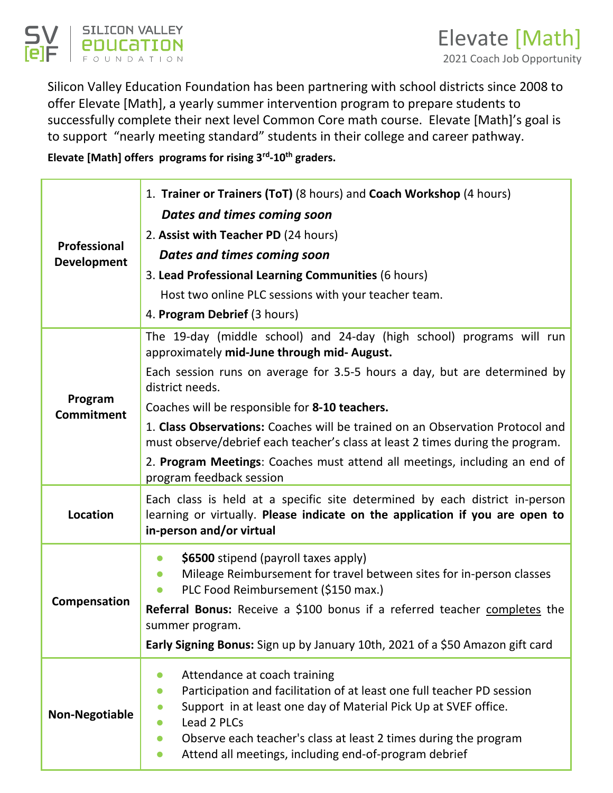

Silicon Valley Education Foundation has been partnering with school districts since 2008 to offer Elevate [Math], a yearly summer intervention program to prepare students to successfully complete their next level Common Core math course. Elevate [Math]'s goal is to support "nearly meeting standard" students in their college and career pathway.

**Elevate [Math] offers programs for rising 3rd-10th graders.** 

| Professional<br><b>Development</b> | 1. Trainer or Trainers (ToT) (8 hours) and Coach Workshop (4 hours)                                                                                                                                                                                                                                                                |  |
|------------------------------------|------------------------------------------------------------------------------------------------------------------------------------------------------------------------------------------------------------------------------------------------------------------------------------------------------------------------------------|--|
|                                    | Dates and times coming soon                                                                                                                                                                                                                                                                                                        |  |
|                                    | 2. Assist with Teacher PD (24 hours)                                                                                                                                                                                                                                                                                               |  |
|                                    | Dates and times coming soon                                                                                                                                                                                                                                                                                                        |  |
|                                    | 3. Lead Professional Learning Communities (6 hours)                                                                                                                                                                                                                                                                                |  |
|                                    | Host two online PLC sessions with your teacher team.                                                                                                                                                                                                                                                                               |  |
|                                    | 4. Program Debrief (3 hours)                                                                                                                                                                                                                                                                                                       |  |
| Program<br><b>Commitment</b>       | The 19-day (middle school) and 24-day (high school) programs will run<br>approximately mid-June through mid- August.                                                                                                                                                                                                               |  |
|                                    | Each session runs on average for 3.5-5 hours a day, but are determined by<br>district needs.                                                                                                                                                                                                                                       |  |
|                                    | Coaches will be responsible for 8-10 teachers.                                                                                                                                                                                                                                                                                     |  |
|                                    | 1. Class Observations: Coaches will be trained on an Observation Protocol and<br>must observe/debrief each teacher's class at least 2 times during the program.                                                                                                                                                                    |  |
|                                    | 2. Program Meetings: Coaches must attend all meetings, including an end of<br>program feedback session                                                                                                                                                                                                                             |  |
| <b>Location</b>                    | Each class is held at a specific site determined by each district in-person<br>learning or virtually. Please indicate on the application if you are open to<br>in-person and/or virtual                                                                                                                                            |  |
| Compensation                       | \$6500 stipend (payroll taxes apply)<br>$\bullet$<br>Mileage Reimbursement for travel between sites for in-person classes<br>PLC Food Reimbursement (\$150 max.)                                                                                                                                                                   |  |
|                                    | Referral Bonus: Receive a \$100 bonus if a referred teacher completes the<br>summer program.                                                                                                                                                                                                                                       |  |
|                                    | Early Signing Bonus: Sign up by January 10th, 2021 of a \$50 Amazon gift card                                                                                                                                                                                                                                                      |  |
| <b>Non-Negotiable</b>              | Attendance at coach training<br>Participation and facilitation of at least one full teacher PD session<br>Support in at least one day of Material Pick Up at SVEF office.<br>Lead 2 PLCs<br>Observe each teacher's class at least 2 times during the program<br>Attend all meetings, including end-of-program debrief<br>$\bullet$ |  |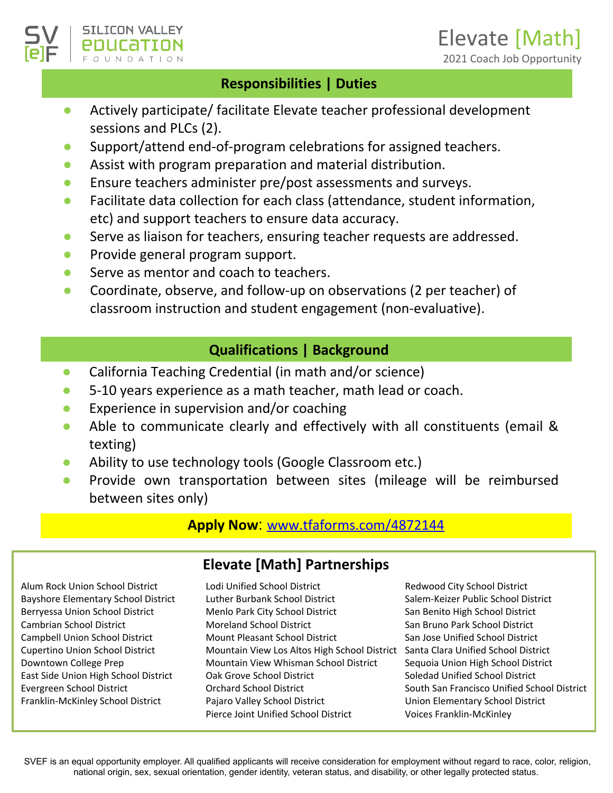### **Responsibilities | Duties**

- Actively participate/ facilitate Elevate teacher professional development sessions and PLCs (2).
- Support/attend end-of-program celebrations for assigned teachers.
- Assist with program preparation and material distribution.
- Ensure teachers administer pre/post assessments and surveys.
- Facilitate data collection for each class (attendance, student information, etc) and support teachers to ensure data accuracy.
- Serve as liaison for teachers, ensuring teacher requests are addressed.
- Provide general program support.

**SILICON VALLEY** 

- Serve as mentor and coach to teachers.
- Coordinate, observe, and follow-up on observations (2 per teacher) of classroom instruction and student engagement (non-evaluative).

## **Qualifications | Background**

- California Teaching Credential (in math and/or science)
- 5-10 years experience as a math teacher, math lead or coach.
- Experience in supervision and/or coaching
- Able to communicate clearly and effectively with all constituents (email & texting)
- Ability to use technology tools (Google Classroom etc.)
- Provide own transportation between sites (mileage will be reimbursed between sites only)

#### **Apply Now**: [www.tfaforms.com/4872144](http://www.tfaforms.com/4872144)

Alum Rock Union School District Bayshore Elementary School District Berryessa Union School District Cambrian School District Campbell Union School District Cupertino Union School District Downtown College Prep East Side Union High School District Evergreen School District Franklin-McKinley School District

## **Elevate [Math] Partnerships**

Lodi Unified School District Luther Burbank School District Menlo Park City School District Moreland School District Mount Pleasant School District Mountain View Los Altos High School District Mountain View Whisman School District Oak Grove School District Orchard School District Pajaro Valley School District Pierce Joint Unified School District

Redwood City School District Salem-Keizer Public School District San Benito High School District San Bruno Park School District San Jose Unified School District Santa Clara Unified School District Sequoia Union High School District Soledad Unified School District South San Francisco Unified School District Union Elementary School District Voices Franklin-McKinley

SVEF is an equal opportunity employer. All qualified applicants will receive consideration for employment without regard to race, color, religion, national origin, sex, sexual orientation, gender identity, veteran status, and disability, or other legally protected status.